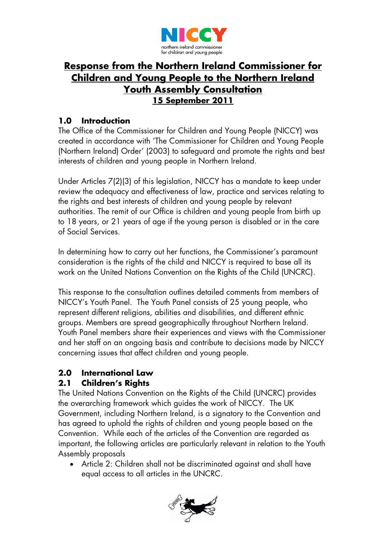

# **Response from the Northern Ireland Commissioner for Children and Young People to the Northern Ireland Youth Assembly Consultation 15 September 2011**

# **1.0 Introduction**

The Office of the Commissioner for Children and Young People (NICCY) was created in accordance with 'The Commissioner for Children and Young People (Northern Ireland) Order' (2003) to safeguard and promote the rights and best interests of children and young people in Northern Ireland.

Under Articles 7(2)(3) of this legislation, NICCY has a mandate to keep under review the adequacy and effectiveness of law, practice and services relating to the rights and best interests of children and young people by relevant authorities. The remit of our Office is children and young people from birth up to 18 years, or 21 years of age if the young person is disabled or in the care of Social Services.

In determining how to carry out her functions, the Commissioner's paramount consideration is the rights of the child and NICCY is required to base all its work on the United Nations Convention on the Rights of the Child (UNCRC).

This response to the consultation outlines detailed comments from members of NICCY's Youth Panel. The Youth Panel consists of 25 young people, who represent different religions, abilities and disabilities, and different ethnic groups. Members are spread geographically throughout Northern Ireland. Youth Panel members share their experiences and views with the Commissioner and her staff on an ongoing basis and contribute to decisions made by NICCY concerning issues that affect children and young people.

# **2.0 International Law**

# **2.1 Children's Rights**

The United Nations Convention on the Rights of the Child (UNCRC) provides the overarching framework which guides the work of NICCY. The UK Government, including Northern Ireland, is a signatory to the Convention and has agreed to uphold the rights of children and young people based on the Convention. While each of the articles of the Convention are regarded as important, the following articles are particularly relevant in relation to the Youth Assembly proposals

• Article 2: Children shall not be discriminated against and shall have equal access to all articles in the UNCRC.

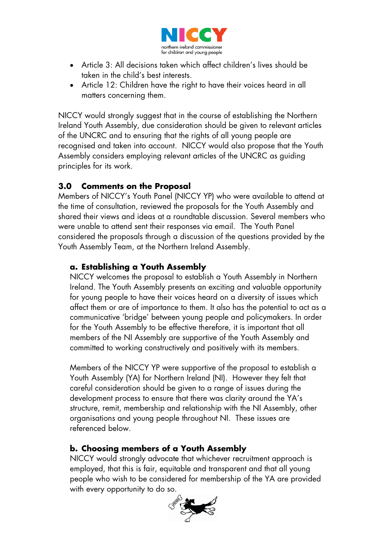

- Article 3: All decisions taken which affect children's lives should be taken in the child's best interests.
- Article 12: Children have the right to have their voices heard in all matters concerning them.

NICCY would strongly suggest that in the course of establishing the Northern Ireland Youth Assembly, due consideration should be given to relevant articles of the UNCRC and to ensuring that the rights of all young people are recognised and taken into account. NICCY would also propose that the Youth Assembly considers employing relevant articles of the UNCRC as guiding principles for its work.

# **3.0 Comments on the Proposal**

Members of NICCY's Youth Panel (NICCY YP) who were available to attend at the time of consultation, reviewed the proposals for the Youth Assembly and shared their views and ideas at a roundtable discussion. Several members who were unable to attend sent their responses via email. The Youth Panel considered the proposals through a discussion of the questions provided by the Youth Assembly Team, at the Northern Ireland Assembly.

### **a. Establishing a Youth Assembly**

NICCY welcomes the proposal to establish a Youth Assembly in Northern Ireland. The Youth Assembly presents an exciting and valuable opportunity for young people to have their voices heard on a diversity of issues which affect them or are of importance to them. It also has the potential to act as a communicative 'bridge' between young people and policymakers. In order for the Youth Assembly to be effective therefore, it is important that all members of the NI Assembly are supportive of the Youth Assembly and committed to working constructively and positively with its members.

Members of the NICCY YP were supportive of the proposal to establish a Youth Assembly (YA) for Northern Ireland (NI). However they felt that careful consideration should be given to a range of issues during the development process to ensure that there was clarity around the YA's structure, remit, membership and relationship with the NI Assembly, other organisations and young people throughout NI. These issues are referenced below.

# **b. Choosing members of a Youth Assembly**

NICCY would strongly advocate that whichever recruitment approach is employed, that this is fair, equitable and transparent and that all young people who wish to be considered for membership of the YA are provided with every opportunity to do so.

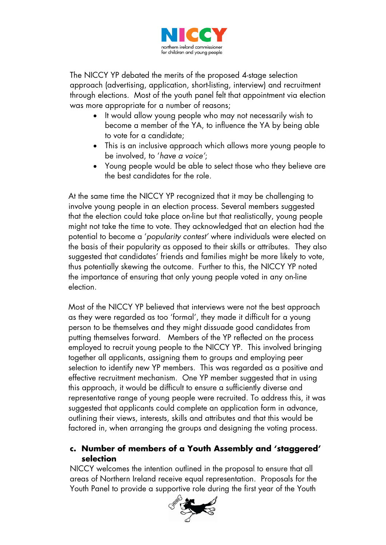

The NICCY YP debated the merits of the proposed 4-stage selection approach (advertising, application, short-listing, interview) and recruitment through elections. Most of the youth panel felt that appointment via election was more appropriate for a number of reasons;

- It would allow young people who may not necessarily wish to become a member of the YA, to influence the YA by being able to vote for a candidate;
- This is an inclusive approach which allows more young people to be involved, to '*have a voice'*;
- Young people would be able to select those who they believe are the best candidates for the role.

At the same time the NICCY YP recognized that it may be challenging to involve young people in an election process. Several members suggested that the election could take place on-line but that realistically, young people might not take the time to vote. They acknowledged that an election had the potential to become a '*popularity contest'* where individuals were elected on the basis of their popularity as opposed to their skills or attributes. They also suggested that candidates' friends and families might be more likely to vote, thus potentially skewing the outcome. Further to this, the NICCY YP noted the importance of ensuring that only young people voted in any on-line election.

Most of the NICCY YP believed that interviews were not the best approach as they were regarded as too 'formal', they made it difficult for a young person to be themselves and they might dissuade good candidates from putting themselves forward. Members of the YP reflected on the process employed to recruit young people to the NICCY YP. This involved bringing together all applicants, assigning them to groups and employing peer selection to identify new YP members. This was regarded as a positive and effective recruitment mechanism. One YP member suggested that in using this approach, it would be difficult to ensure a sufficiently diverse and representative range of young people were recruited. To address this, it was suggested that applicants could complete an application form in advance, outlining their views, interests, skills and attributes and that this would be factored in, when arranging the groups and designing the voting process.

# **c. Number of members of a Youth Assembly and 'staggered' selection**

NICCY welcomes the intention outlined in the proposal to ensure that all areas of Northern Ireland receive equal representation. Proposals for the Youth Panel to provide a supportive role during the first year of the Youth

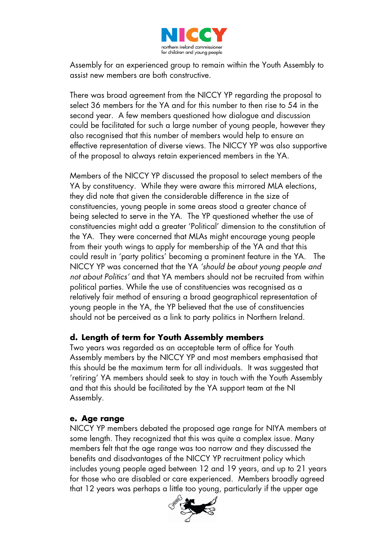

Assembly for an experienced group to remain within the Youth Assembly to assist new members are both constructive.

There was broad agreement from the NICCY YP regarding the proposal to select 36 members for the YA and for this number to then rise to 54 in the second year. A few members questioned how dialogue and discussion could be facilitated for such a large number of young people, however they also recognised that this number of members would help to ensure an effective representation of diverse views. The NICCY YP was also supportive of the proposal to always retain experienced members in the YA.

Members of the NICCY YP discussed the proposal to select members of the YA by constituency. While they were aware this mirrored MLA elections, they did note that given the considerable difference in the size of constituencies, young people in some areas stood a greater chance of being selected to serve in the YA. The YP questioned whether the use of constituencies might add a greater 'Political' dimension to the constitution of the YA. They were concerned that MLAs might encourage young people from their youth wings to apply for membership of the YA and that this could result in 'party politics' becoming a prominent feature in the YA. The NICCY YP was concerned that the YA *'should be about young people and not about Politics'* and that YA members should not be recruited from within political parties. While the use of constituencies was recognised as a relatively fair method of ensuring a broad geographical representation of young people in the YA, the YP believed that the use of constituencies should not be perceived as a link to party politics in Northern Ireland.

#### **d. Length of term for Youth Assembly members**

Two years was regarded as an acceptable term of office for Youth Assembly members by the NICCY YP and most members emphasised that this should be the maximum term for all individuals. It was suggested that 'retiring' YA members should seek to stay in touch with the Youth Assembly and that this should be facilitated by the YA support team at the NI Assembly.

#### **e. Age range**

NICCY YP members debated the proposed age range for NIYA members at some length. They recognized that this was quite a complex issue. Many members felt that the age range was too narrow and they discussed the benefits and disadvantages of the NICCY YP recruitment policy which includes young people aged between 12 and 19 years, and up to 21 years for those who are disabled or care experienced. Members broadly agreed that 12 years was perhaps a little too young, particularly if the upper age

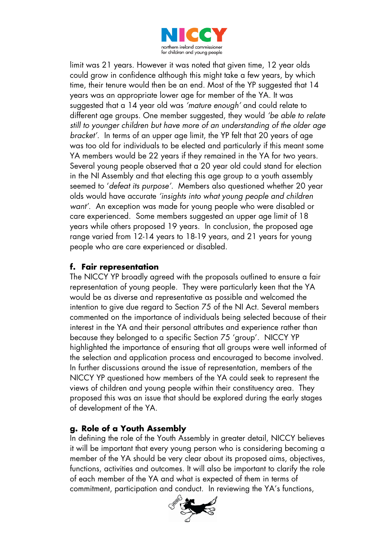

limit was 21 years. However it was noted that given time, 12 year olds could grow in confidence although this might take a few years, by which time, their tenure would then be an end. Most of the YP suggested that 14 years was an appropriate lower age for member of the YA. It was suggested that a 14 year old was *'mature enough'* and could relate to different age groups. One member suggested, they would *'be able to relate still to younger children but have more of an understanding of the older age bracket'.* In terms of an upper age limit, the YP felt that 20 years of age was too old for individuals to be elected and particularly if this meant some YA members would be 22 years if they remained in the YA for two years. Several young people observed that a 20 year old could stand for election in the NI Assembly and that electing this age group to a youth assembly seemed to '*defeat its purpose'*. Members also questioned whether 20 year olds would have accurate *'insights into what young people and children want'*. An exception was made for young people who were disabled or care experienced. Some members suggested an upper age limit of 18 years while others proposed 19 years. In conclusion, the proposed age range varied from 12-14 years to 18-19 years, and 21 years for young people who are care experienced or disabled.

# **f. Fair representation**

The NICCY YP broadly agreed with the proposals outlined to ensure a fair representation of young people. They were particularly keen that the YA would be as diverse and representative as possible and welcomed the intention to give due regard to Section 75 of the NI Act. Several members commented on the importance of individuals being selected because of their interest in the YA and their personal attributes and experience rather than because they belonged to a specific Section 75 'group'. NICCY YP highlighted the importance of ensuring that all groups were well informed of the selection and application process and encouraged to become involved. In further discussions around the issue of representation, members of the NICCY YP questioned how members of the YA could seek to represent the views of children and young people within their constituency area. They proposed this was an issue that should be explored during the early stages of development of the YA.

# **g. Role of a Youth Assembly**

In defining the role of the Youth Assembly in greater detail, NICCY believes it will be important that every young person who is considering becoming a member of the YA should be very clear about its proposed aims, objectives, functions, activities and outcomes. It will also be important to clarify the role of each member of the YA and what is expected of them in terms of commitment, participation and conduct. In reviewing the YA's functions,

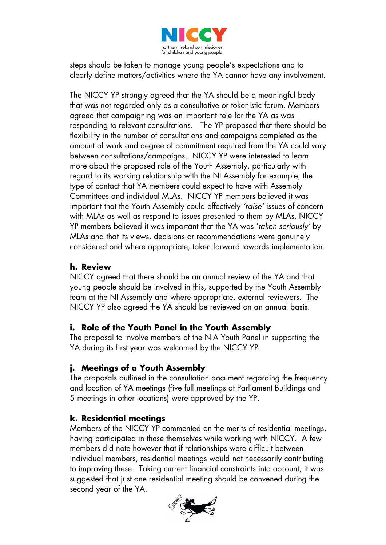

steps should be taken to manage young people's expectations and to clearly define matters/activities where the YA cannot have any involvement.

The NICCY YP strongly agreed that the YA should be a meaningful body that was not regarded only as a consultative or tokenistic forum. Members agreed that campaigning was an important role for the YA as was responding to relevant consultations. The YP proposed that there should be flexibility in the number of consultations and campaigns completed as the amount of work and degree of commitment required from the YA could vary between consultations/campaigns. NICCY YP were interested to learn more about the proposed role of the Youth Assembly, particularly with regard to its working relationship with the NI Assembly for example, the type of contact that YA members could expect to have with Assembly Committees and individual MLAs. NICCY YP members believed it was important that the Youth Assembly could effectively *'raise'* issues of concern with MLAs as well as respond to issues presented to them by MLAs. NICCY YP members believed it was important that the YA was '*taken seriously'* by MLAs and that its views, decisions or recommendations were genuinely considered and where appropriate, taken forward towards implementation.

### **h. Review**

NICCY agreed that there should be an annual review of the YA and that young people should be involved in this, supported by the Youth Assembly team at the NI Assembly and where appropriate, external reviewers. The NICCY YP also agreed the YA should be reviewed on an annual basis.

#### **i. Role of the Youth Panel in the Youth Assembly**

The proposal to involve members of the NIA Youth Panel in supporting the YA during its first year was welcomed by the NICCY YP.

# **j. Meetings of a Youth Assembly**

The proposals outlined in the consultation document regarding the frequency and location of YA meetings (five full meetings at Parliament Buildings and 5 meetings in other locations) were approved by the YP.

#### **k. Residential meetings**

Members of the NICCY YP commented on the merits of residential meetings, having participated in these themselves while working with NICCY. A few members did note however that if relationships were difficult between individual members, residential meetings would not necessarily contributing to improving these. Taking current financial constraints into account, it was suggested that just one residential meeting should be convened during the second year of the YA.

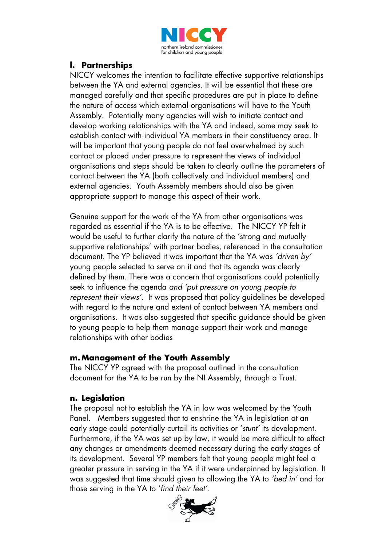

### **l. Partnerships**

NICCY welcomes the intention to facilitate effective supportive relationships between the YA and external agencies. It will be essential that these are managed carefully and that specific procedures are put in place to define the nature of access which external organisations will have to the Youth Assembly. Potentially many agencies will wish to initiate contact and develop working relationships with the YA and indeed, some may seek to establish contact with individual YA members in their constituency area. It will be important that young people do not feel overwhelmed by such contact or placed under pressure to represent the views of individual organisations and steps should be taken to clearly outline the parameters of contact between the YA (both collectively and individual members) and external agencies. Youth Assembly members should also be given appropriate support to manage this aspect of their work.

Genuine support for the work of the YA from other organisations was regarded as essential if the YA is to be effective. The NICCY YP felt it would be useful to further clarify the nature of the 'strong and mutually supportive relationships' with partner bodies, referenced in the consultation document. The YP believed it was important that the YA was *'driven by'* young people selected to serve on it and that its agenda was clearly defined by them. There was a concern that organisations could potentially seek to influence the agenda *and 'put pressure on young people to represent their views'.* It was proposed that policy guidelines be developed with regard to the nature and extent of contact between YA members and organisations. It was also suggested that specific guidance should be given to young people to help them manage support their work and manage relationships with other bodies

#### **m. Management of the Youth Assembly**

The NICCY YP agreed with the proposal outlined in the consultation document for the YA to be run by the NI Assembly, through a Trust.

#### **n. Legislation**

The proposal not to establish the YA in law was welcomed by the Youth Panel. Members suggested that to enshrine the YA in legislation at an early stage could potentially curtail its activities or '*stunt'* its development. Furthermore, if the YA was set up by law, it would be more difficult to effect any changes or amendments deemed necessary during the early stages of its development. Several YP members felt that young people might feel a greater pressure in serving in the YA if it were underpinned by legislation. It was suggested that time should given to allowing the YA to *'bed in'* and for those serving in the YA to '*find their feet'*.